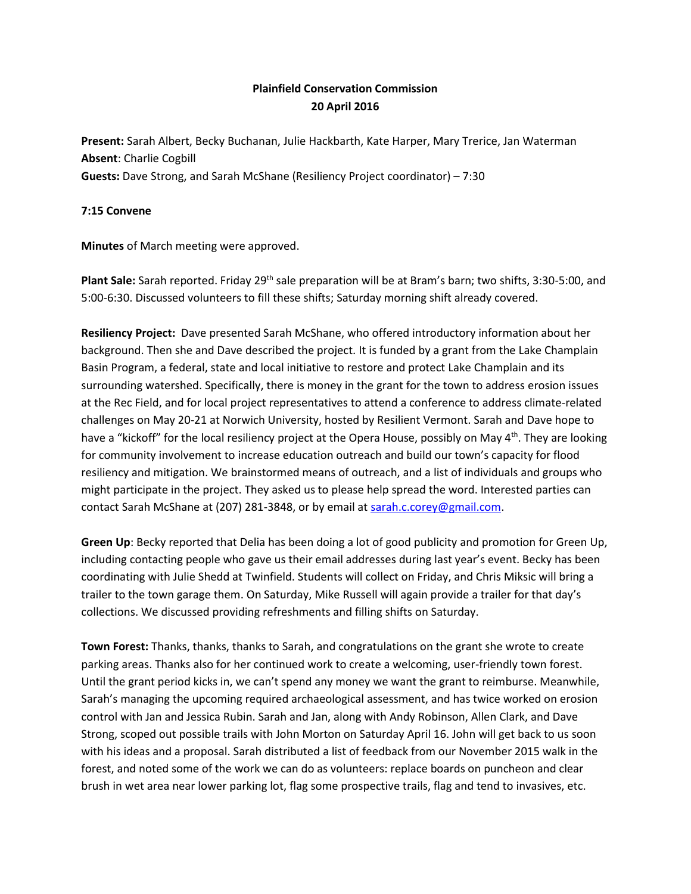## **Plainfield Conservation Commission 20 April 2016**

**Present:** Sarah Albert, Becky Buchanan, Julie Hackbarth, Kate Harper, Mary Trerice, Jan Waterman **Absent**: Charlie Cogbill **Guests:** Dave Strong, and Sarah McShane (Resiliency Project coordinator) – 7:30

## **7:15 Convene**

**Minutes** of March meeting were approved.

**Plant Sale:** Sarah reported. Friday 29<sup>th</sup> sale preparation will be at Bram's barn; two shifts, 3:30-5:00, and 5:00-6:30. Discussed volunteers to fill these shifts; Saturday morning shift already covered.

**Resiliency Project:** Dave presented Sarah McShane, who offered introductory information about her background. Then she and Dave described the project. It is funded by a grant from the Lake Champlain Basin Program, a federal, state and local initiative to restore and protect Lake Champlain and its surrounding watershed. Specifically, there is money in the grant for the town to address erosion issues at the Rec Field, and for local project representatives to attend a conference to address climate-related challenges on May 20-21 at Norwich University, hosted by Resilient Vermont. Sarah and Dave hope to have a "kickoff" for the local resiliency project at the Opera House, possibly on May 4<sup>th</sup>. They are looking for community involvement to increase education outreach and build our town's capacity for flood resiliency and mitigation. We brainstormed means of outreach, and a list of individuals and groups who might participate in the project. They asked us to please help spread the word. Interested parties can contact Sarah McShane at (207) 281-3848, or by email a[t sarah.c.corey@gmail.com.](mailto:sarah.c.corey@gmail.com)

**Green Up**: Becky reported that Delia has been doing a lot of good publicity and promotion for Green Up, including contacting people who gave us their email addresses during last year's event. Becky has been coordinating with Julie Shedd at Twinfield. Students will collect on Friday, and Chris Miksic will bring a trailer to the town garage them. On Saturday, Mike Russell will again provide a trailer for that day's collections. We discussed providing refreshments and filling shifts on Saturday.

**Town Forest:** Thanks, thanks, thanks to Sarah, and congratulations on the grant she wrote to create parking areas. Thanks also for her continued work to create a welcoming, user-friendly town forest. Until the grant period kicks in, we can't spend any money we want the grant to reimburse. Meanwhile, Sarah's managing the upcoming required archaeological assessment, and has twice worked on erosion control with Jan and Jessica Rubin. Sarah and Jan, along with Andy Robinson, Allen Clark, and Dave Strong, scoped out possible trails with John Morton on Saturday April 16. John will get back to us soon with his ideas and a proposal. Sarah distributed a list of feedback from our November 2015 walk in the forest, and noted some of the work we can do as volunteers: replace boards on puncheon and clear brush in wet area near lower parking lot, flag some prospective trails, flag and tend to invasives, etc.